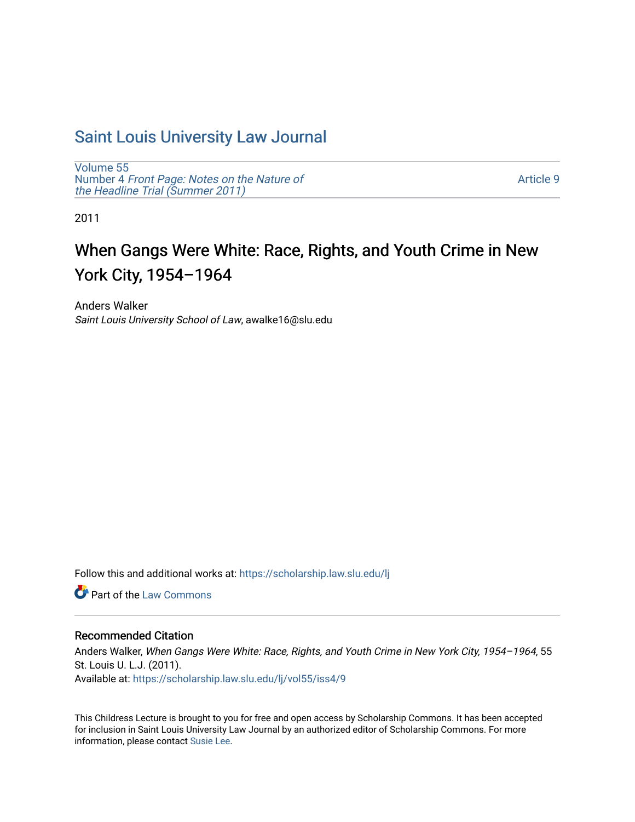## [Saint Louis University Law Journal](https://scholarship.law.slu.edu/lj)

[Volume 55](https://scholarship.law.slu.edu/lj/vol55) Number 4 [Front Page: Notes on the Nature of](https://scholarship.law.slu.edu/lj/vol55/iss4) [the Headline Trial \(Summer 2011\)](https://scholarship.law.slu.edu/lj/vol55/iss4)

[Article 9](https://scholarship.law.slu.edu/lj/vol55/iss4/9) 

2011

# When Gangs Were White: Race, Rights, and Youth Crime in New York City, 1954–1964

Anders Walker Saint Louis University School of Law, awalke16@slu.edu

Follow this and additional works at: [https://scholarship.law.slu.edu/lj](https://scholarship.law.slu.edu/lj?utm_source=scholarship.law.slu.edu%2Flj%2Fvol55%2Fiss4%2F9&utm_medium=PDF&utm_campaign=PDFCoverPages) 

**C** Part of the [Law Commons](http://network.bepress.com/hgg/discipline/578?utm_source=scholarship.law.slu.edu%2Flj%2Fvol55%2Fiss4%2F9&utm_medium=PDF&utm_campaign=PDFCoverPages)

## Recommended Citation

Anders Walker, When Gangs Were White: Race, Rights, and Youth Crime in New York City, 1954–1964, 55 St. Louis U. L.J. (2011). Available at: [https://scholarship.law.slu.edu/lj/vol55/iss4/9](https://scholarship.law.slu.edu/lj/vol55/iss4/9?utm_source=scholarship.law.slu.edu%2Flj%2Fvol55%2Fiss4%2F9&utm_medium=PDF&utm_campaign=PDFCoverPages) 

This Childress Lecture is brought to you for free and open access by Scholarship Commons. It has been accepted for inclusion in Saint Louis University Law Journal by an authorized editor of Scholarship Commons. For more information, please contact [Susie Lee](mailto:susie.lee@slu.edu).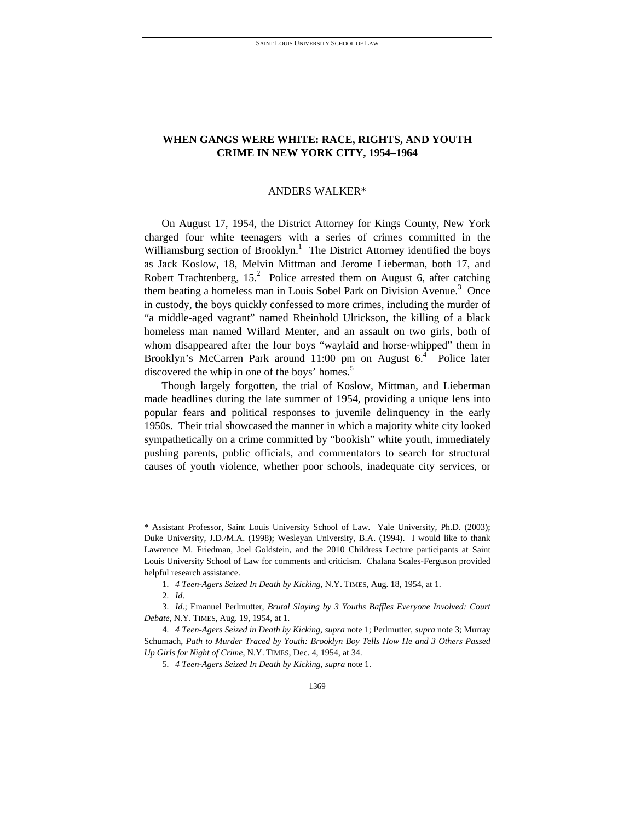## **WHEN GANGS WERE WHITE: RACE, RIGHTS, AND YOUTH CRIME IN NEW YORK CITY, 1954–1964**

#### ANDERS WALKER\*

On August 17, 1954, the District Attorney for Kings County, New York charged four white teenagers with a series of crimes committed in the Williamsburg section of Brooklyn.<sup>1</sup> The District Attorney identified the boys as Jack Koslow, 18, Melvin Mittman and Jerome Lieberman, both 17, and Robert Trachtenberg,  $15<sup>2</sup>$  Police arrested them on August 6, after catching them beating a homeless man in Louis Sobel Park on Division Avenue.<sup>3</sup> Once in custody, the boys quickly confessed to more crimes, including the murder of "a middle-aged vagrant" named Rheinhold Ulrickson, the killing of a black homeless man named Willard Menter, and an assault on two girls, both of whom disappeared after the four boys "waylaid and horse-whipped" them in Brooklyn's McCarren Park around 11:00 pm on August 6.<sup>4</sup> Police later discovered the whip in one of the boys' homes.<sup>5</sup>

Though largely forgotten, the trial of Koslow, Mittman, and Lieberman made headlines during the late summer of 1954, providing a unique lens into popular fears and political responses to juvenile delinquency in the early 1950s. Their trial showcased the manner in which a majority white city looked sympathetically on a crime committed by "bookish" white youth, immediately pushing parents, public officials, and commentators to search for structural causes of youth violence, whether poor schools, inadequate city services, or

<sup>\*</sup> Assistant Professor, Saint Louis University School of Law. Yale University, Ph.D. (2003); Duke University, J.D./M.A. (1998); Wesleyan University, B.A. (1994). I would like to thank Lawrence M. Friedman, Joel Goldstein, and the 2010 Childress Lecture participants at Saint Louis University School of Law for comments and criticism. Chalana Scales-Ferguson provided helpful research assistance.

<sup>1</sup>*. 4 Teen-Agers Seized In Death by Kicking*, N.Y. TIMES, Aug. 18, 1954, at 1.

<sup>2</sup>*. Id.*

<sup>3</sup>*. Id.*; Emanuel Perlmutter, *Brutal Slaying by 3 Youths Baffles Everyone Involved: Court Debate*, N.Y. TIMES, Aug. 19, 1954, at 1.

<sup>4</sup>*. 4 Teen-Agers Seized in Death by Kicking*, *supra* note 1; Perlmutter, *supra* note 3; Murray Schumach, *Path to Murder Traced by Youth: Brooklyn Boy Tells How He and 3 Others Passed Up Girls for Night of Crime*, N.Y. TIMES, Dec. 4, 1954, at 34.

<sup>5</sup>*. 4 Teen-Agers Seized In Death by Kicking*, *supra* note 1.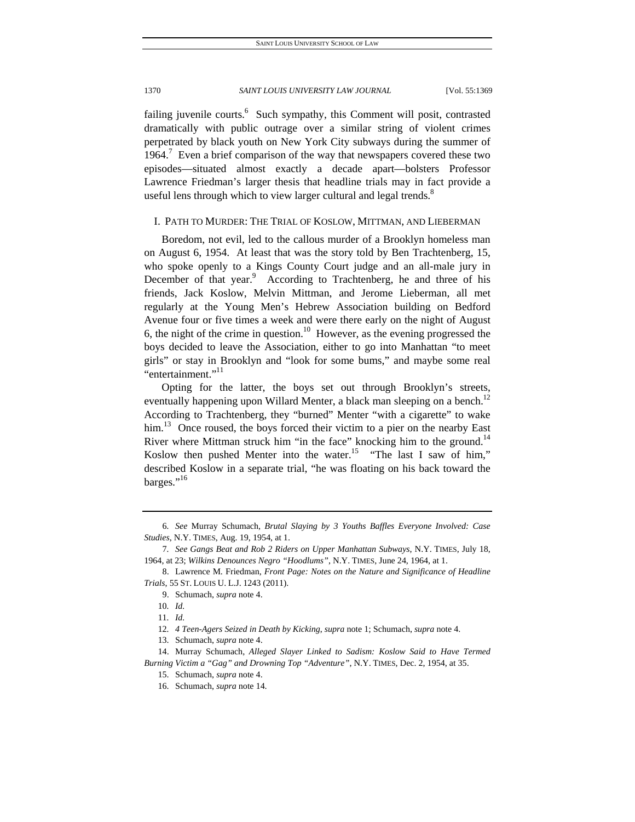failing juvenile courts.<sup>6</sup> Such sympathy, this Comment will posit, contrasted dramatically with public outrage over a similar string of violent crimes perpetrated by black youth on New York City subways during the summer of 1964.<sup>7</sup> Even a brief comparison of the way that newspapers covered these two episodes—situated almost exactly a decade apart—bolsters Professor Lawrence Friedman's larger thesis that headline trials may in fact provide a useful lens through which to view larger cultural and legal trends.<sup>8</sup>

## I. PATH TO MURDER: THE TRIAL OF KOSLOW, MITTMAN, AND LIEBERMAN

Boredom, not evil, led to the callous murder of a Brooklyn homeless man on August 6, 1954. At least that was the story told by Ben Trachtenberg, 15, who spoke openly to a Kings County Court judge and an all-male jury in December of that year.<sup>9</sup> According to Trachtenberg, he and three of his friends, Jack Koslow, Melvin Mittman, and Jerome Lieberman, all met regularly at the Young Men's Hebrew Association building on Bedford Avenue four or five times a week and were there early on the night of August 6, the night of the crime in question.<sup>10</sup> However, as the evening progressed the boys decided to leave the Association, either to go into Manhattan "to meet girls" or stay in Brooklyn and "look for some bums," and maybe some real "entertainment."<sup>11</sup>

Opting for the latter, the boys set out through Brooklyn's streets, eventually happening upon Willard Menter, a black man sleeping on a bench.<sup>12</sup> According to Trachtenberg, they "burned" Menter "with a cigarette" to wake him.<sup>13</sup> Once roused, the boys forced their victim to a pier on the nearby East River where Mittman struck him "in the face" knocking him to the ground.<sup>14</sup> Koslow then pushed Menter into the water.<sup>15</sup> "The last I saw of him," described Koslow in a separate trial, "he was floating on his back toward the barges."<sup>16</sup>

<sup>6</sup>*. See* Murray Schumach, *Brutal Slaying by 3 Youths Baffles Everyone Involved: Case Studies*, N.Y. TIMES, Aug. 19, 1954, at 1.

<sup>7</sup>*. See Gangs Beat and Rob 2 Riders on Upper Manhattan Subways*, N.Y. TIMES, July 18, 1964, at 23; *Wilkins Denounces Negro "Hoodlums"*, N.Y. TIMES, June 24, 1964, at 1.

 <sup>8.</sup> Lawrence M. Friedman, *Front Page: Notes on the Nature and Significance of Headline Trials*, 55 ST. LOUIS U. L.J. 1243 (2011).

 <sup>9.</sup> Schumach, *supra* note 4.

<sup>10</sup>*. Id.*

<sup>11</sup>*. Id.*

<sup>12</sup>*. 4 Teen-Agers Seized in Death by Kicking*, *supra* note 1; Schumach, *supra* note 4.

 <sup>13.</sup> Schumach, *supra* note 4.

 <sup>14.</sup> Murray Schumach, *Alleged Slayer Linked to Sadism: Koslow Said to Have Termed Burning Victim a "Gag" and Drowning Top "Adventure"*, N.Y. TIMES, Dec. 2, 1954, at 35.

 <sup>15.</sup> Schumach, *supra* note 4.

 <sup>16.</sup> Schumach, *supra* note 14.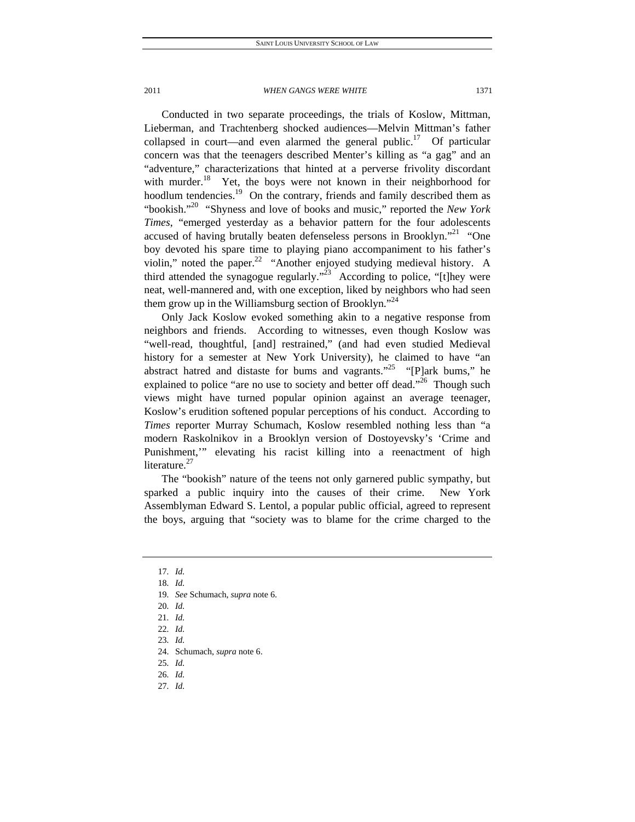Conducted in two separate proceedings, the trials of Koslow, Mittman, Lieberman, and Trachtenberg shocked audiences—Melvin Mittman's father collapsed in court—and even alarmed the general public.<sup>17</sup> Of particular concern was that the teenagers described Menter's killing as "a gag" and an "adventure," characterizations that hinted at a perverse frivolity discordant with murder.<sup>18</sup> Yet, the boys were not known in their neighborhood for hoodlum tendencies.<sup>19</sup> On the contrary, friends and family described them as "bookish."20 "Shyness and love of books and music," reported the *New York Times*, "emerged yesterday as a behavior pattern for the four adolescents accused of having brutally beaten defenseless persons in Brooklyn."<sup>21</sup> "One boy devoted his spare time to playing piano accompaniment to his father's violin," noted the paper. $^{22}$  "Another enjoyed studying medieval history. A third attended the synagogue regularly."<sup>23</sup> According to police, "[t]hey were neat, well-mannered and, with one exception, liked by neighbors who had seen them grow up in the Williamsburg section of Brooklyn."<sup>24</sup>

Only Jack Koslow evoked something akin to a negative response from neighbors and friends. According to witnesses, even though Koslow was "well-read, thoughtful, [and] restrained," (and had even studied Medieval history for a semester at New York University), he claimed to have "an abstract hatred and distaste for bums and vagrants."<sup>25</sup> "[P]ark bums," he explained to police "are no use to society and better off dead."<sup>26</sup> Though such views might have turned popular opinion against an average teenager, Koslow's erudition softened popular perceptions of his conduct. According to *Times* reporter Murray Schumach, Koslow resembled nothing less than "a modern Raskolnikov in a Brooklyn version of Dostoyevsky's 'Crime and Punishment,'" elevating his racist killing into a reenactment of high literature.<sup>27</sup>

The "bookish" nature of the teens not only garnered public sympathy, but sparked a public inquiry into the causes of their crime. New York Assemblyman Edward S. Lentol, a popular public official, agreed to represent the boys, arguing that "society was to blame for the crime charged to the

25*. Id.*

27*. Id.*

<sup>17</sup>*. Id.*

<sup>18</sup>*. Id.*

<sup>19</sup>*. See* Schumach, *supra* note 6.

<sup>20</sup>*. Id.*

<sup>21</sup>*. Id.*

<sup>22</sup>*. Id.*

<sup>23</sup>*. Id.*

 <sup>24.</sup> Schumach, *supra* note 6.

<sup>26</sup>*. Id.*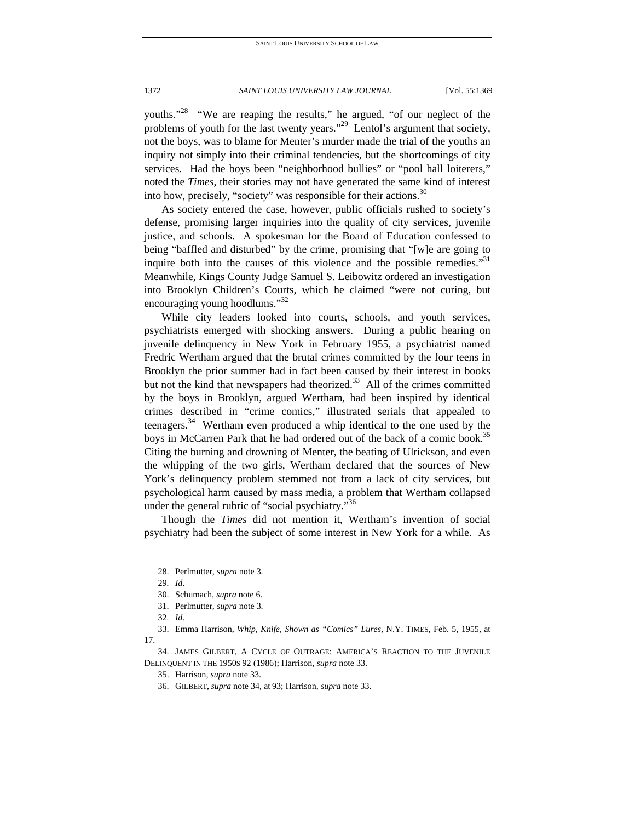youths."<sup>28</sup> "We are reaping the results," he argued, "of our neglect of the problems of youth for the last twenty years."<sup>29</sup> Lentol's argument that society, not the boys, was to blame for Menter's murder made the trial of the youths an inquiry not simply into their criminal tendencies, but the shortcomings of city services. Had the boys been "neighborhood bullies" or "pool hall loiterers," noted the *Times*, their stories may not have generated the same kind of interest into how, precisely, "society" was responsible for their actions. $30$ 

As society entered the case, however, public officials rushed to society's defense, promising larger inquiries into the quality of city services, juvenile justice, and schools. A spokesman for the Board of Education confessed to being "baffled and disturbed" by the crime, promising that "[w]e are going to inquire both into the causes of this violence and the possible remedies."<sup>31</sup> Meanwhile, Kings County Judge Samuel S. Leibowitz ordered an investigation into Brooklyn Children's Courts, which he claimed "were not curing, but encouraging young hoodlums."<sup>32</sup>

While city leaders looked into courts, schools, and youth services, psychiatrists emerged with shocking answers. During a public hearing on juvenile delinquency in New York in February 1955, a psychiatrist named Fredric Wertham argued that the brutal crimes committed by the four teens in Brooklyn the prior summer had in fact been caused by their interest in books but not the kind that newspapers had theorized. $33$  All of the crimes committed by the boys in Brooklyn, argued Wertham, had been inspired by identical crimes described in "crime comics," illustrated serials that appealed to teenagers.<sup>34</sup> Wertham even produced a whip identical to the one used by the boys in McCarren Park that he had ordered out of the back of a comic book.<sup>35</sup> Citing the burning and drowning of Menter, the beating of Ulrickson, and even the whipping of the two girls, Wertham declared that the sources of New York's delinquency problem stemmed not from a lack of city services, but psychological harm caused by mass media, a problem that Wertham collapsed under the general rubric of "social psychiatry."<sup>36</sup>

Though the *Times* did not mention it, Wertham's invention of social psychiatry had been the subject of some interest in New York for a while. As

 34. JAMES GILBERT, A CYCLE OF OUTRAGE: AMERICA'S REACTION TO THE JUVENILE DELINQUENT IN THE 1950S 92 (1986); Harrison, *supra* note 33.

36. GILBERT, *supra* note 34, at 93; Harrison, *supra* note 33.

 <sup>28.</sup> Perlmutter, *supra* note 3.

<sup>29</sup>*. Id.*

 <sup>30.</sup> Schumach, *supra* note 6.

 <sup>31.</sup> Perlmutter, *supra* note 3.

<sup>32</sup>*. Id.*

 <sup>33.</sup> Emma Harrison, *Whip, Knife, Shown as "Comics" Lures*, N.Y. TIMES, Feb. 5, 1955, at 17.

 <sup>35.</sup> Harrison, *supra* note 33.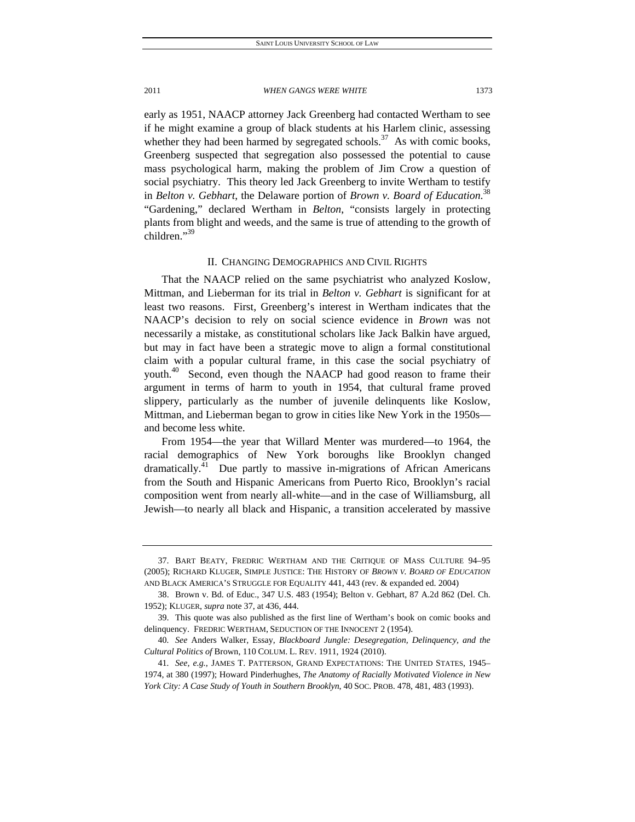early as 1951, NAACP attorney Jack Greenberg had contacted Wertham to see if he might examine a group of black students at his Harlem clinic, assessing whether they had been harmed by segregated schools.<sup>37</sup> As with comic books, Greenberg suspected that segregation also possessed the potential to cause mass psychological harm, making the problem of Jim Crow a question of social psychiatry. This theory led Jack Greenberg to invite Wertham to testify in *Belton v. Gebhart*, the Delaware portion of *Brown v. Board of Education*. 38 "Gardening," declared Wertham in *Belton*, "consists largely in protecting plants from blight and weeds, and the same is true of attending to the growth of children."39

## II. CHANGING DEMOGRAPHICS AND CIVIL RIGHTS

That the NAACP relied on the same psychiatrist who analyzed Koslow, Mittman, and Lieberman for its trial in *Belton v. Gebhart* is significant for at least two reasons. First, Greenberg's interest in Wertham indicates that the NAACP's decision to rely on social science evidence in *Brown* was not necessarily a mistake, as constitutional scholars like Jack Balkin have argued, but may in fact have been a strategic move to align a formal constitutional claim with a popular cultural frame, in this case the social psychiatry of youth.<sup>40</sup> Second, even though the NAACP had good reason to frame their argument in terms of harm to youth in 1954, that cultural frame proved slippery, particularly as the number of juvenile delinquents like Koslow, Mittman, and Lieberman began to grow in cities like New York in the 1950s and become less white.

From 1954—the year that Willard Menter was murdered—to 1964, the racial demographics of New York boroughs like Brooklyn changed dramatically.<sup>41</sup> Due partly to massive in-migrations of African Americans from the South and Hispanic Americans from Puerto Rico, Brooklyn's racial composition went from nearly all-white—and in the case of Williamsburg, all Jewish—to nearly all black and Hispanic, a transition accelerated by massive

 <sup>37.</sup> BART BEATY, FREDRIC WERTHAM AND THE CRITIQUE OF MASS CULTURE 94–95 (2005); RICHARD KLUGER, SIMPLE JUSTICE: THE HISTORY OF *BROWN V. BOARD OF EDUCATION* AND BLACK AMERICA'S STRUGGLE FOR EQUALITY 441, 443 (rev. & expanded ed. 2004)

 <sup>38.</sup> Brown v. Bd. of Educ., 347 U.S. 483 (1954); Belton v. Gebhart, 87 A.2d 862 (Del. Ch. 1952); KLUGER, *supra* note 37, at 436, 444.

 <sup>39.</sup> This quote was also published as the first line of Wertham's book on comic books and delinquency. FREDRIC WERTHAM, SEDUCTION OF THE INNOCENT 2 (1954).

<sup>40</sup>*. See* Anders Walker, Essay, *Blackboard Jungle: Desegregation, Delinquency, and the Cultural Politics of* Brown, 110 COLUM. L. REV. 1911, 1924 (2010).

<sup>41</sup>*. See, e.g.*, JAMES T. PATTERSON, GRAND EXPECTATIONS: THE UNITED STATES, 1945– 1974, at 380 (1997); Howard Pinderhughes, *The Anatomy of Racially Motivated Violence in New York City: A Case Study of Youth in Southern Brooklyn*, 40 SOC. PROB. 478, 481, 483 (1993).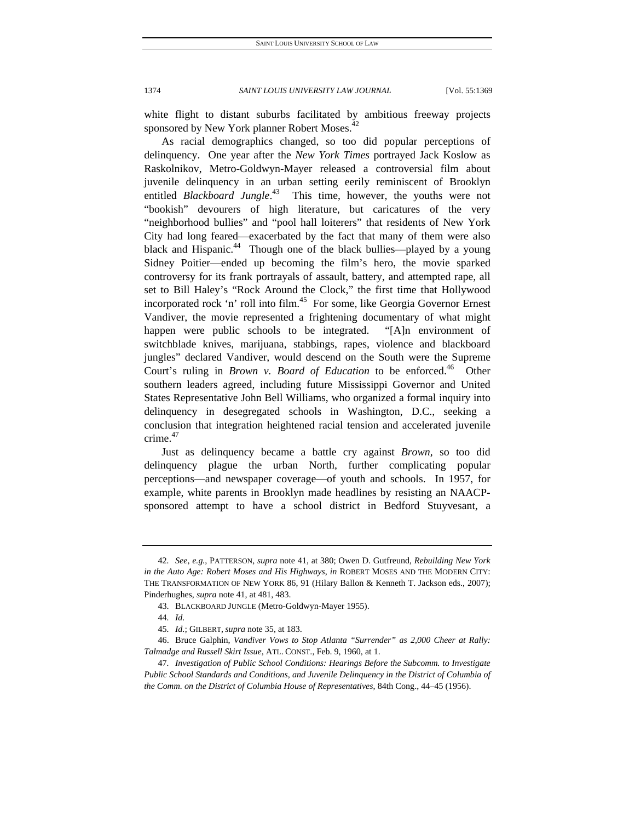white flight to distant suburbs facilitated by ambitious freeway projects sponsored by New York planner Robert Moses.<sup>42</sup>

As racial demographics changed, so too did popular perceptions of delinquency. One year after the *New York Times* portrayed Jack Koslow as Raskolnikov, Metro-Goldwyn-Mayer released a controversial film about juvenile delinquency in an urban setting eerily reminiscent of Brooklyn entitled *Blackboard Jungle*.<sup>43</sup> This time, however, the youths were not "bookish" devourers of high literature, but caricatures of the very "neighborhood bullies" and "pool hall loiterers" that residents of New York City had long feared—exacerbated by the fact that many of them were also black and Hispanic.<sup>44</sup> Though one of the black bullies—played by a young Sidney Poitier—ended up becoming the film's hero, the movie sparked controversy for its frank portrayals of assault, battery, and attempted rape, all set to Bill Haley's "Rock Around the Clock," the first time that Hollywood incorporated rock 'n' roll into film.<sup>45</sup> For some, like Georgia Governor Ernest Vandiver, the movie represented a frightening documentary of what might happen were public schools to be integrated. "[A]n environment of switchblade knives, marijuana, stabbings, rapes, violence and blackboard jungles" declared Vandiver, would descend on the South were the Supreme Court's ruling in *Brown v. Board of Education* to be enforced.<sup>46</sup> Other southern leaders agreed, including future Mississippi Governor and United States Representative John Bell Williams, who organized a formal inquiry into delinquency in desegregated schools in Washington, D.C., seeking a conclusion that integration heightened racial tension and accelerated juvenile crime.<sup>47</sup>

Just as delinquency became a battle cry against *Brown,* so too did delinquency plague the urban North, further complicating popular perceptions—and newspaper coverage—of youth and schools. In 1957, for example, white parents in Brooklyn made headlines by resisting an NAACPsponsored attempt to have a school district in Bedford Stuyvesant, a

<sup>42</sup>*. See, e.g.*, PATTERSON, *supra* note 41, at 380; Owen D. Gutfreund, *Rebuilding New York in the Auto Age: Robert Moses and His Highways*, *in* ROBERT MOSES AND THE MODERN CITY: THE TRANSFORMATION OF NEW YORK 86, 91 (Hilary Ballon & Kenneth T. Jackson eds., 2007); Pinderhughes, *supra* note 41, at 481, 483.

 <sup>43.</sup> BLACKBOARD JUNGLE (Metro-Goldwyn-Mayer 1955).

<sup>44</sup>*. Id.*

<sup>45</sup>*. Id.*; GILBERT, *supra* note 35, at 183.

 <sup>46.</sup> Bruce Galphin, *Vandiver Vows to Stop Atlanta "Surrender" as 2,000 Cheer at Rally: Talmadge and Russell Skirt Issue*, ATL. CONST., Feb. 9, 1960, at 1.

<sup>47</sup>*. Investigation of Public School Conditions: Hearings Before the Subcomm. to Investigate Public School Standards and Conditions, and Juvenile Delinquency in the District of Columbia of the Comm. on the District of Columbia House of Representatives*, 84th Cong., 44–45 (1956).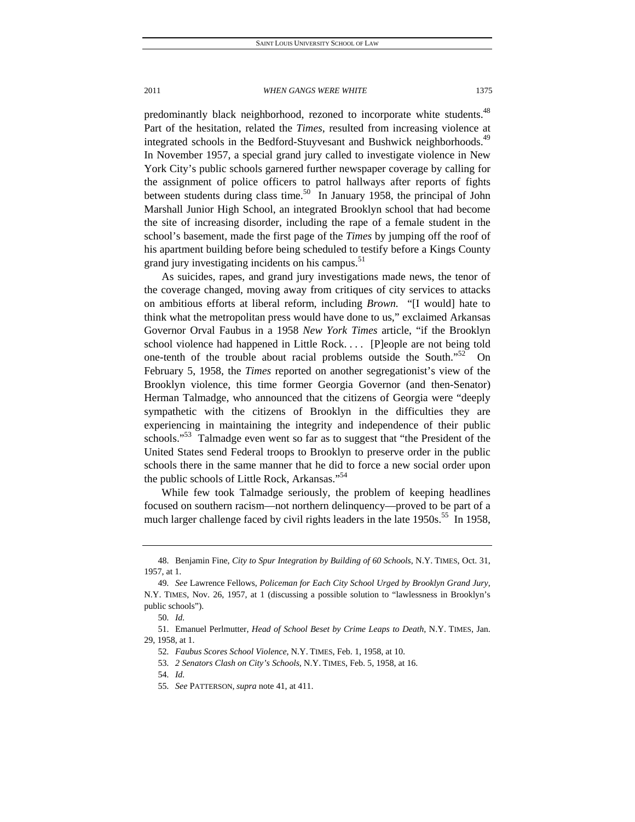predominantly black neighborhood, rezoned to incorporate white students.<sup>48</sup> Part of the hesitation, related the *Times*, resulted from increasing violence at integrated schools in the Bedford-Stuyvesant and Bushwick neighborhoods.<sup>49</sup> In November 1957, a special grand jury called to investigate violence in New York City's public schools garnered further newspaper coverage by calling for the assignment of police officers to patrol hallways after reports of fights between students during class time.<sup>50</sup> In January 1958, the principal of John Marshall Junior High School, an integrated Brooklyn school that had become the site of increasing disorder, including the rape of a female student in the school's basement, made the first page of the *Times* by jumping off the roof of his apartment building before being scheduled to testify before a Kings County grand jury investigating incidents on his campus.<sup>51</sup>

As suicides, rapes, and grand jury investigations made news, the tenor of the coverage changed, moving away from critiques of city services to attacks on ambitious efforts at liberal reform, including *Brown.* "[I would] hate to think what the metropolitan press would have done to us," exclaimed Arkansas Governor Orval Faubus in a 1958 *New York Times* article, "if the Brooklyn school violence had happened in Little Rock. . . . [P]eople are not being told one-tenth of the trouble about racial problems outside the South. $152$  On February 5, 1958, the *Times* reported on another segregationist's view of the Brooklyn violence, this time former Georgia Governor (and then-Senator) Herman Talmadge, who announced that the citizens of Georgia were "deeply sympathetic with the citizens of Brooklyn in the difficulties they are experiencing in maintaining the integrity and independence of their public schools."<sup>53</sup> Talmadge even went so far as to suggest that "the President of the United States send Federal troops to Brooklyn to preserve order in the public schools there in the same manner that he did to force a new social order upon the public schools of Little Rock, Arkansas."<sup>54</sup>

While few took Talmadge seriously, the problem of keeping headlines focused on southern racism—not northern delinquency—proved to be part of a much larger challenge faced by civil rights leaders in the late  $1950s$ .<sup>55</sup> In 1958,

 <sup>48.</sup> Benjamin Fine, *City to Spur Integration by Building of 60 Schools*, N.Y. TIMES, Oct. 31, 1957, at 1.

<sup>49</sup>*. See* Lawrence Fellows, *Policeman for Each City School Urged by Brooklyn Grand Jury*, N.Y. TIMES, Nov. 26, 1957, at 1 (discussing a possible solution to "lawlessness in Brooklyn's public schools").

<sup>50</sup>*. Id.*

 <sup>51.</sup> Emanuel Perlmutter, *Head of School Beset by Crime Leaps to Death*, N.Y. TIMES, Jan. 29, 1958, at 1.

<sup>52</sup>*. Faubus Scores School Violence*, N.Y. TIMES, Feb. 1, 1958, at 10.

<sup>53</sup>*. 2 Senators Clash on City's Schools*, N.Y. TIMES, Feb. 5, 1958, at 16.

<sup>54</sup>*. Id.*

<sup>55</sup>*. See* PATTERSON, *supra* note 41, at 411.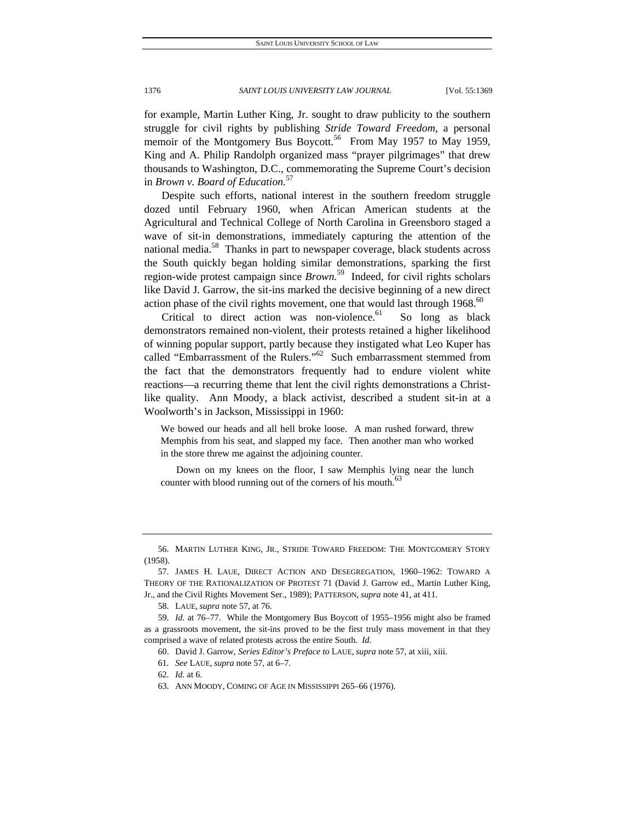for example, Martin Luther King, Jr. sought to draw publicity to the southern struggle for civil rights by publishing *Stride Toward Freedom*, a personal memoir of the Montgomery Bus Boycott.<sup>56</sup> From May 1957 to May 1959, King and A. Philip Randolph organized mass "prayer pilgrimages" that drew thousands to Washington, D.C., commemorating the Supreme Court's decision in *Brown v. Board of Education.*<sup>57</sup>

Despite such efforts, national interest in the southern freedom struggle dozed until February 1960, when African American students at the Agricultural and Technical College of North Carolina in Greensboro staged a wave of sit-in demonstrations, immediately capturing the attention of the national media.<sup>58</sup> Thanks in part to newspaper coverage, black students across the South quickly began holding similar demonstrations, sparking the first region-wide protest campaign since *Brown.*59 Indeed, for civil rights scholars like David J. Garrow, the sit-ins marked the decisive beginning of a new direct action phase of the civil rights movement, one that would last through  $1968$ <sup>60</sup>

Critical to direct action was non-violence. $61$  So long as black demonstrators remained non-violent, their protests retained a higher likelihood of winning popular support, partly because they instigated what Leo Kuper has called "Embarrassment of the Rulers."<sup>62</sup> Such embarrassment stemmed from the fact that the demonstrators frequently had to endure violent white reactions—a recurring theme that lent the civil rights demonstrations a Christlike quality. Ann Moody, a black activist, described a student sit-in at a Woolworth's in Jackson, Mississippi in 1960:

We bowed our heads and all hell broke loose. A man rushed forward, threw Memphis from his seat, and slapped my face. Then another man who worked in the store threw me against the adjoining counter.

 Down on my knees on the floor, I saw Memphis lying near the lunch counter with blood running out of the corners of his mouth.<sup>6</sup>

 <sup>56.</sup> MARTIN LUTHER KING, JR., STRIDE TOWARD FREEDOM: THE MONTGOMERY STORY (1958).

 <sup>57.</sup> JAMES H. LAUE, DIRECT ACTION AND DESEGREGATION, 1960–1962: TOWARD A THEORY OF THE RATIONALIZATION OF PROTEST 71 (David J. Garrow ed., Martin Luther King, Jr., and the Civil Rights Movement Ser., 1989); PATTERSON, *supra* note 41, at 411.

 <sup>58.</sup> LAUE, *supra* note 57, at 76.

<sup>59</sup>*. Id.* at 76–77. While the Montgomery Bus Boycott of 1955–1956 might also be framed as a grassroots movement, the sit-ins proved to be the first truly mass movement in that they comprised a wave of related protests across the entire South. *Id.* 

 <sup>60.</sup> David J. Garrow, *Series Editor's Preface to* LAUE, *supra* note 57, at xiii, xiii.

<sup>61</sup>*. See* LAUE, *supra* note 57, at 6–7.

<sup>62</sup>*. Id.* at 6.

 <sup>63.</sup> ANN MOODY, COMING OF AGE IN MISSISSIPPI 265–66 (1976).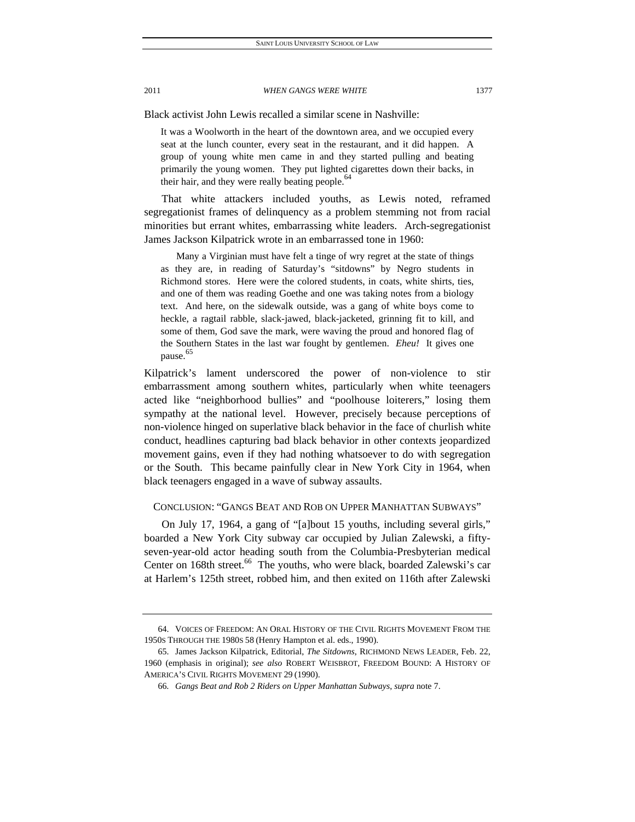Black activist John Lewis recalled a similar scene in Nashville:

It was a Woolworth in the heart of the downtown area, and we occupied every seat at the lunch counter, every seat in the restaurant, and it did happen. A group of young white men came in and they started pulling and beating primarily the young women. They put lighted cigarettes down their backs, in their hair, and they were really beating people.<sup>64</sup>

That white attackers included youths, as Lewis noted, reframed segregationist frames of delinquency as a problem stemming not from racial minorities but errant whites, embarrassing white leaders. Arch-segregationist James Jackson Kilpatrick wrote in an embarrassed tone in 1960:

 Many a Virginian must have felt a tinge of wry regret at the state of things as they are, in reading of Saturday's "sitdowns" by Negro students in Richmond stores. Here were the colored students, in coats, white shirts, ties, and one of them was reading Goethe and one was taking notes from a biology text. And here, on the sidewalk outside, was a gang of white boys come to heckle, a ragtail rabble, slack-jawed, black-jacketed, grinning fit to kill, and some of them, God save the mark, were waving the proud and honored flag of the Southern States in the last war fought by gentlemen. *Eheu!* It gives one pause. 65

Kilpatrick's lament underscored the power of non-violence to stir embarrassment among southern whites, particularly when white teenagers acted like "neighborhood bullies" and "poolhouse loiterers," losing them sympathy at the national level. However, precisely because perceptions of non-violence hinged on superlative black behavior in the face of churlish white conduct, headlines capturing bad black behavior in other contexts jeopardized movement gains, even if they had nothing whatsoever to do with segregation or the South. This became painfully clear in New York City in 1964, when black teenagers engaged in a wave of subway assaults.

## CONCLUSION: "GANGS BEAT AND ROB ON UPPER MANHATTAN SUBWAYS"

On July 17, 1964, a gang of "[a]bout 15 youths, including several girls," boarded a New York City subway car occupied by Julian Zalewski, a fiftyseven-year-old actor heading south from the Columbia-Presbyterian medical Center on 168th street.<sup>66</sup> The youths, who were black, boarded Zalewski's car at Harlem's 125th street, robbed him, and then exited on 116th after Zalewski

 <sup>64.</sup> VOICES OF FREEDOM: AN ORAL HISTORY OF THE CIVIL RIGHTS MOVEMENT FROM THE 1950S THROUGH THE 1980S 58 (Henry Hampton et al. eds., 1990).

 <sup>65.</sup> James Jackson Kilpatrick, Editorial, *The Sitdowns*, RICHMOND NEWS LEADER, Feb. 22, 1960 (emphasis in original); *see also* ROBERT WEISBROT, FREEDOM BOUND: A HISTORY OF AMERICA'S CIVIL RIGHTS MOVEMENT 29 (1990).

<sup>66</sup>*. Gangs Beat and Rob 2 Riders on Upper Manhattan Subways*, *supra* note 7.